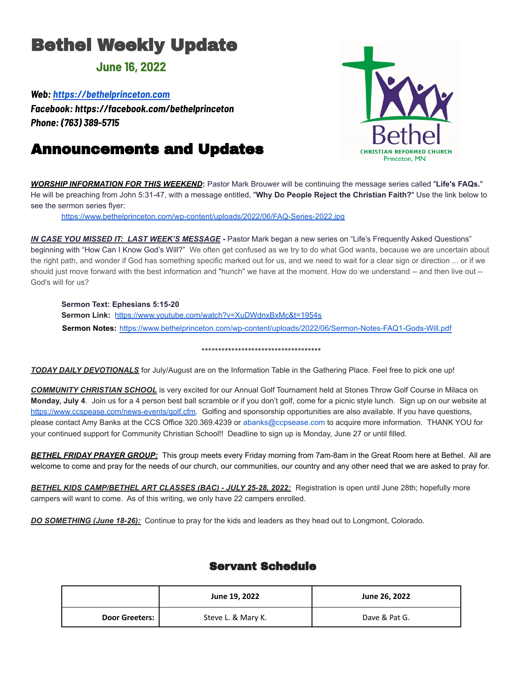# Bethel Weekly Update

### **June 16, 2022**

*Web: <https://bethelprinceton.com>*

*Facebook: https://facebook.com/bethelprinceton Phone: (763) 389-5715*

# Announcements and Updates



*WORSHIP INFORMATION FOR THIS WEEKEND***:** Pastor Mark Brouwer will be continuing the message series called "**Life's FAQs.**" He will be preaching from John 5:31-47, with a message entitled, "**Why Do People Reject the Christian Faith?**" Use the link below to see the sermon series flyer:

<https://www.bethelprinceton.com/wp-content/uploads/2022/06/FAQ-Series-2022.jpg>

*IN CASE YOU MISSED IT: LAST WEEK'S MESSAGE* **-** Pastor Mark began a new series on "Life's Frequently Asked Questions" beginning with "How Can I Know God's Will?" We often get confused as we try to do what God wants, because we are uncertain about the right path, and wonder if God has something specific marked out for us, and we need to wait for a clear sign or direction ... or if we should just move forward with the best information and "hunch" we have at the moment. How do we understand -- and then live out -- God's will for us?

#### **Sermon Text: Ephesians 5:15-20**

**Sermon Link:** <https://www.youtube.com/watch?v=XuDWdnxBxMc&t=1954s> **Sermon Notes:** [https://www.bethelprinceton.com/wp-content/uploads/2022/06/Sermon-Notes-FAQ1-Gods-Will.pdf](https://www.bethelprinceton.com/wp-content/uploads/2022/06/Sermon-Notes-FAQ1-Gods-Will.pdfSermon%20notes%20handout)

#### \*\*\*\*\*\*\*\*\*\*\*\*\*\*\*\*\*\*\*\*\*\*\*\*\*\*\*\*\*\*\*\*\*\*\*\*

*TODAY DAILY DEVOTIONALS* for July/August are on the Information Table in the Gathering Place. Feel free to pick one up!

*COMMUNITY CHRISTIAN SCHOOL* is very excited for our Annual Golf Tournament held at Stones Throw Golf Course in Milaca on **Monday, July 4**. Join us for a 4 person best ball scramble or if you don't golf, come for a picnic style lunch. Sign up on our website at <https://www.ccspease.com/news-events/golf.cfm>. Golfing and sponsorship opportunities are also available. If you have questions, please contact Amy Banks at the CCS Office 320.369.4239 or abanks@ccpsease.com to acquire more information. THANK YOU for your continued support for Community Christian School!! Deadline to sign up is Monday, June 27 or until filled.

*BETHEL FRIDAY PRAYER GROUP:* This group meets every Friday morning from 7am-8am in the Great Room here at Bethel. All are welcome to come and pray for the needs of our church, our communities, our country and any other need that we are asked to pray for.

*BETHEL KIDS CAMP/BETHEL ART CLASSES (BAC) - JULY 25-28, 2022:* Registration is open until June 28th; hopefully more campers will want to come. As of this writing, we only have 22 campers enrolled.

*DO SOMETHING (June 18-26):* Continue to pray for the kids and leaders as they head out to Longmont, Colorado.

### Servant Schedule

|                | June 19, 2022      | June 26, 2022 |  |
|----------------|--------------------|---------------|--|
| Door Greeters: | Steve L. & Mary K. | Dave & Pat G. |  |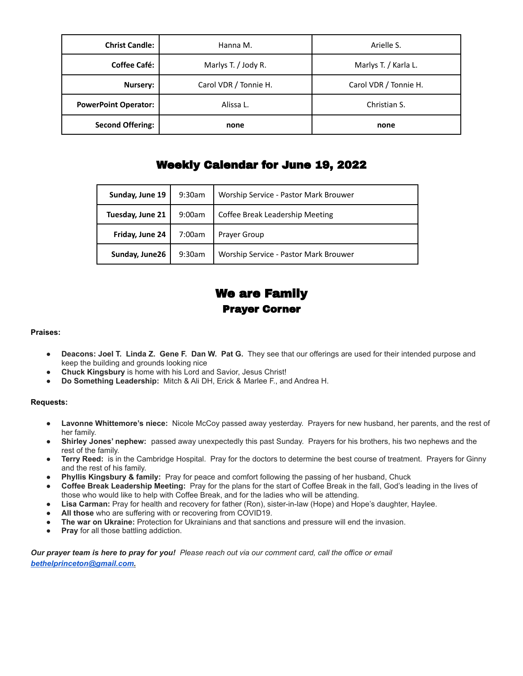| <b>Christ Candle:</b>       | Hanna M.              | Arielle S.            |  |
|-----------------------------|-----------------------|-----------------------|--|
| <b>Coffee Café:</b>         | Marlys T. / Jody R.   | Marlys T. / Karla L.  |  |
| Nursery:                    | Carol VDR / Tonnie H. | Carol VDR / Tonnie H. |  |
| <b>PowerPoint Operator:</b> | Alissa L.             | Christian S.          |  |
| <b>Second Offering:</b>     | none                  | none                  |  |

### Weekly Calendar for June 19, 2022

| Sunday, June 19  | $9:30$ am | Worship Service - Pastor Mark Brouwer |
|------------------|-----------|---------------------------------------|
| Tuesday, June 21 | 9:00am    | Coffee Break Leadership Meeting       |
| Friday, June 24  | 7:00am    | Prayer Group                          |
| Sunday, June26   | 9:30am    | Worship Service - Pastor Mark Brouwer |

## We are Family Prayer Corner

#### **Praises:**

- **Deacons: Joel T. Linda Z. Gene F. Dan W. Pat G.** They see that our offerings are used for their intended purpose and keep the building and grounds looking nice
- **Chuck Kingsbury** is home with his Lord and Savior, Jesus Christ!
- **Do Something Leadership:** Mitch & Ali DH, Erick & Marlee F., and Andrea H.

#### **Requests:**

- **Lavonne Whittemore's niece:** Nicole McCoy passed away yesterday. Prayers for new husband, her parents, and the rest of her family.
- Shirley Jones' nephew: passed away unexpectedly this past Sunday. Prayers for his brothers, his two nephews and the rest of the family.
- **Terry Reed:** is in the Cambridge Hospital. Pray for the doctors to determine the best course of treatment. Prayers for Ginny and the rest of his family.
- **Phyllis Kingsbury & family:** Pray for peace and comfort following the passing of her husband, Chuck
- **Coffee Break Leadership Meeting:** Pray for the plans for the start of Coffee Break in the fall, God's leading in the lives of those who would like to help with Coffee Break, and for the ladies who will be attending.
- Lisa Carman: Pray for health and recovery for father (Ron), sister-in-law (Hope) and Hope's daughter, Haylee.
- All those who are suffering with or recovering from COVID19.
- **● The war on Ukraine:** Protection for Ukrainians and that sanctions and pressure will end the invasion.
- **Pray** for all those battling addiction.

*Our prayer team is here to pray for you! Please reach out via our comment card, call the office or email [bethelprinceton@gmail.com.](mailto:bethelprinceton@gmail.com)*